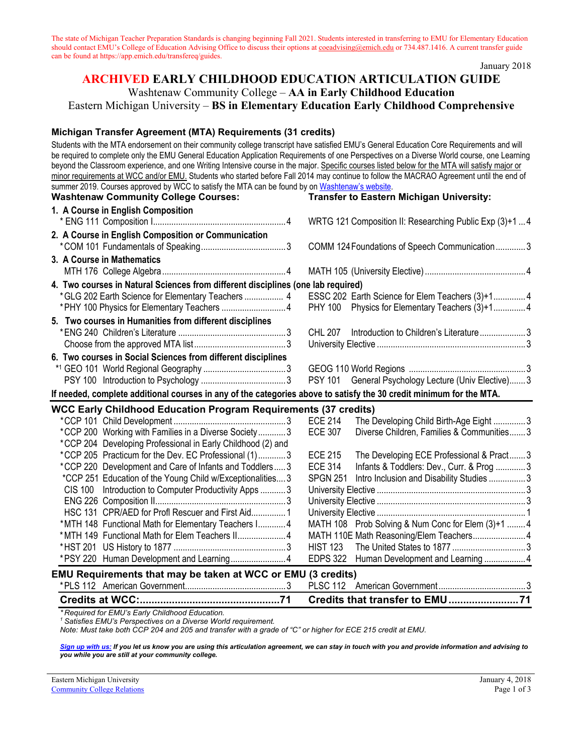The state of Michigan Teacher Preparation Standards is changing beginning Fall 2021. Students interested in transferring to EMU for Elementary Education should contact EMU's College of Education Advising Office to discuss their options at [coeadvising@emich.edu](mailto:coeadvising@emich.edu) or 734.487.1416. A current transfer guide can be found at https://app.emich.edu/transfereq/guides.

January 2018

# **ARCHIVED EARLY CHILDHOOD EDUCATION ARTICULATION GUIDE**

Washtenaw Community College – **AA in Early Childhood Education**

Eastern Michigan University – **BS in Elementary Education Early Childhood Comprehensive**

#### **Michigan Transfer Agreement (MTA) Requirements (31 credits)**

Students with the MTA endorsement on their community college transcript have satisfied EMU's General Education Core Requirements and will be required to complete only the EMU General Education Application Requirements of one Perspectives on a Diverse World course, one Learning beyond the Classroom experience, and one Writing Intensive course in the major. Specific courses listed below for the MTA will satisfy major or minor requirements at WCC and/or EMU. Students who started before Fall 2014 may continue to follow the MACRAO Agreement until the end of summer 2019. Courses approved by WCC to satisfy the MTA can be found by on [Washtenaw's website.](http://www.wccnet.edu/services/transferresources/mta/)

| <b>Washtenaw Community College Courses:</b>                                                                         | <b>Transfer to Eastern Michigan University:</b>              |
|---------------------------------------------------------------------------------------------------------------------|--------------------------------------------------------------|
| 1. A Course in English Composition                                                                                  |                                                              |
|                                                                                                                     | WRTG 121 Composition II: Researching Public Exp (3)+1  4     |
| 2. A Course in English Composition or Communication                                                                 |                                                              |
|                                                                                                                     | COMM 124 Foundations of Speech Communication 3               |
| 3. A Course in Mathematics                                                                                          |                                                              |
|                                                                                                                     |                                                              |
| 4. Two courses in Natural Sciences from different disciplines (one lab required)                                    |                                                              |
| *GLG 202 Earth Science for Elementary Teachers  4                                                                   | ESSC 202 Earth Science for Elem Teachers (3)+1 4             |
|                                                                                                                     | <b>PHY 100</b><br>Physics for Elementary Teachers (3)+14     |
| 5. Two courses in Humanities from different disciplines                                                             |                                                              |
|                                                                                                                     | <b>CHL 207</b><br>Introduction to Children's Literature3     |
|                                                                                                                     |                                                              |
| 6. Two courses in Social Sciences from different disciplines                                                        |                                                              |
|                                                                                                                     |                                                              |
|                                                                                                                     | PSY 101 General Psychology Lecture (Univ Elective) 3         |
| If needed, complete additional courses in any of the categories above to satisfy the 30 credit minimum for the MTA. |                                                              |
| <b>WCC Early Childhood Education Program Requirements (37 credits)</b>                                              |                                                              |
|                                                                                                                     | The Developing Child Birth-Age Eight 3<br><b>ECE 214</b>     |
| *CCP 200 Working with Families in a Diverse Society3                                                                | <b>ECE 307</b><br>Diverse Children, Families & Communities 3 |
| *CCP 204 Developing Professional in Early Childhood (2) and                                                         |                                                              |
| *CCP 205 Practicum for the Dev. EC Professional (1)3                                                                | <b>ECE 215</b><br>The Developing ECE Professional & Pract3   |
| *CCP 220 Development and Care of Infants and Toddlers 3                                                             | <b>ECE 314</b><br>Infants & Toddlers: Dev., Curr. & Prog  3  |
| *CCP 251 Education of the Young Child w/Exceptionalities 3                                                          | <b>SPGN 251</b><br>Intro Inclusion and Disability Studies  3 |
| CIS 100 Introduction to Computer Productivity Apps  3                                                               |                                                              |
|                                                                                                                     |                                                              |
| HSC 131 CPR/AED for Profl Rescuer and First Aid 1                                                                   |                                                              |
| *MTH 148 Functional Math for Elementary Teachers I 4                                                                | MATH 108 Prob Solving & Num Conc for Elem (3)+1 4            |
| *MTH 149 Functional Math for Elem Teachers II 4                                                                     | MATH 110E Math Reasoning/Elem Teachers 4                     |
|                                                                                                                     |                                                              |
|                                                                                                                     | EDPS 322 Human Development and Learning  4                   |
| EMU Requirements that may be taken at WCC or EMU (3 credits)                                                        |                                                              |
|                                                                                                                     |                                                              |
|                                                                                                                     |                                                              |
| * Required for FMU's Farly Childhood Fducation                                                                      |                                                              |

<sup>1</sup> Satisfies EMU's Perspectives on a Diverse World requirement.

*Note: Must take both CCP 204 and 205 and transfer with a grade of "C" or higher for ECE 215 credit at EMU.* 

*[Sign up with us:](http://www.emich.edu/ccr/articulation-agreements/signup.php) If you let us know you are using this articulation agreement, we can stay in touch with you and provide information and advising to you while you are still at your community college.*

Eastern Michigan University January 4, 2018 **[Community College Relations](http://www.emich.edu/ccr/index.php)** Page 1 of 3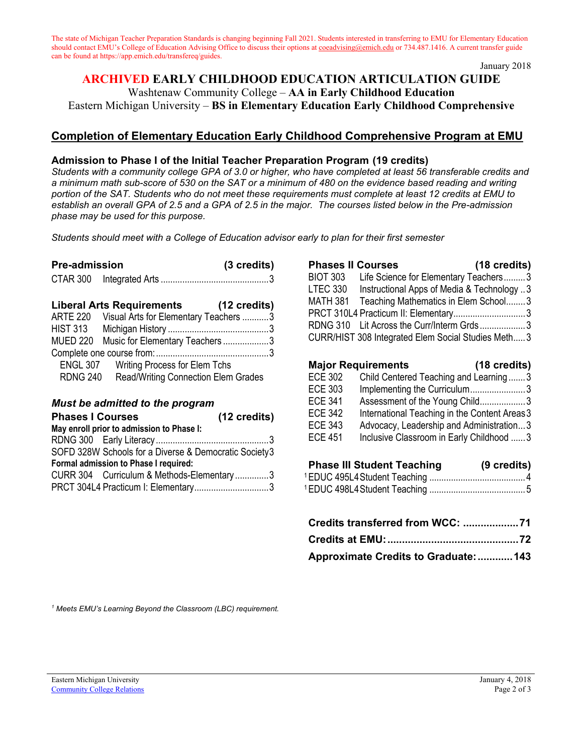The state of Michigan Teacher Preparation Standards is changing beginning Fall 2021. Students interested in transferring to EMU for Elementary Education should contact EMU's College of Education Advising Office to discuss their options at [coeadvising@emich.edu](mailto:coeadvising@emich.edu) or 734.487.1416. A current transfer guide can be found at https://app.emich.edu/transfereq/guides.

January 2018

#### **ARCHIVED EARLY CHILDHOOD EDUCATION ARTICULATION GUIDE** Washtenaw Community College – **AA in Early Childhood Education**

Eastern Michigan University – **BS in Elementary Education Early Childhood Comprehensive**

## **Completion of Elementary Education Early Childhood Comprehensive Program at EMU**

#### **Admission to Phase I of the Initial Teacher Preparation Program (19 credits)**

*Students with a community college GPA of 3.0 or higher, who have completed at least 56 transferable credits and a minimum math sub-score of 530 on the SAT or a minimum of 480 on the evidence based reading and writing portion of the SAT. Students who do not meet these requirements must complete at least 12 credits at EMU to establish an overall GPA of 2.5 and a GPA of 2.5 in the major. The courses listed below in the Pre-admission phase may be used for this purpose.*

*Students should meet with a College of Education advisor early to plan for their first semester* 

| <b>Pre-admission</b> | (3 credits) |
|----------------------|-------------|
|                      |             |

|  | <b>Liberal Arts Requirements</b> |  | (12 credits) |  |
|--|----------------------------------|--|--------------|--|
|  |                                  |  |              |  |

| <b>ARTE 220</b> | Visual Arts for Elementary Teachers 3         |  |
|-----------------|-----------------------------------------------|--|
| <b>HIST 313</b> |                                               |  |
|                 | MUED 220 Music for Elementary Teachers3       |  |
|                 |                                               |  |
|                 | <b>ENGL 307</b> Writing Process for Elem Tchs |  |
| <b>RDNG 240</b> | <b>Read/Writing Connection Elem Grades</b>    |  |
|                 |                                               |  |

#### *Must be admitted to the program*

| <b>Phases I Courses</b>                               | (12 credits) |
|-------------------------------------------------------|--------------|
| May enroll prior to admission to Phase I:             |              |
|                                                       |              |
| SOFD 328W Schools for a Diverse & Democratic Society3 |              |
| Formal admission to Phase I required:                 |              |
| CURR 304 Curriculum & Methods-Elementary3             |              |
| PRCT 304L4 Practicum I: Elementary3                   |              |

| <b>Phases II Courses</b> |                                                    | (18 credits) |
|--------------------------|----------------------------------------------------|--------------|
| <b>BIOT 303</b>          | Life Science for Elementary Teachers3              |              |
| LTEC 330                 | Instructional Apps of Media & Technology 3         |              |
|                          | MATH 381 Teaching Mathematics in Elem School3      |              |
|                          | PRCT 310L4 Practicum II: Elementary3               |              |
|                          | RDNG 310 Lit Across the Curr/Interm Grds3          |              |
|                          | CURR/HIST 308 Integrated Elem Social Studies Meth3 |              |

### **Major Requirements (18 credits)**

| <b>ECE 302</b> | Child Centered Teaching and Learning3         |
|----------------|-----------------------------------------------|
| <b>ECE 303</b> | Implementing the Curriculum3                  |
| <b>ECE 341</b> | Assessment of the Young Child3                |
| <b>ECE 342</b> | International Teaching in the Content Areas 3 |
| <b>ECE 343</b> | Advocacy, Leadership and Administration3      |
| <b>ECE 451</b> | Inclusive Classroom in Early Childhood  3     |

# **Phase III Student Teaching (9 credits)**

| Approximate Credits to Graduate:  143 |  |
|---------------------------------------|--|

*<sup>1</sup> Meets EMU's Learning Beyond the Classroom (LBC) requirement.*